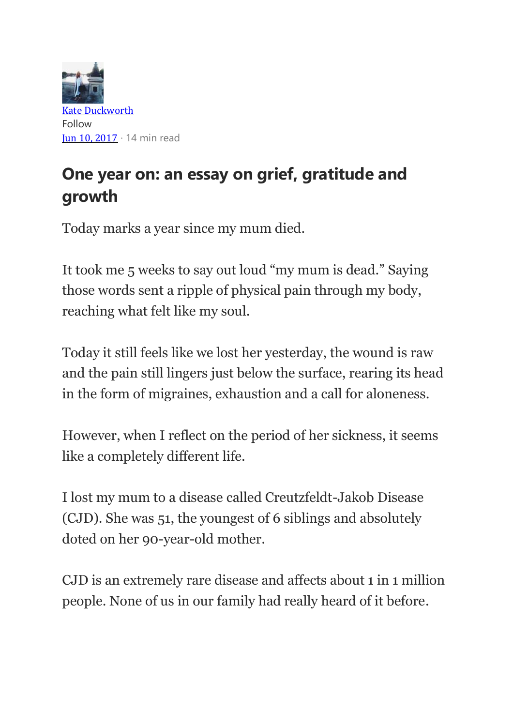

## **One year on: an essay on grief, gratitude and growth**

Today marks a year since my mum died.

It took me 5 weeks to say out loud "my mum is dead." Saying those words sent a ripple of physical pain through my body, reaching what felt like my soul.

Today it still feels like we lost her yesterday, the wound is raw and the pain still lingers just below the surface, rearing its head in the form of migraines, exhaustion and a call for aloneness.

However, when I reflect on the period of her sickness, it seems like a completely different life.

I lost my mum to a disease called Creutzfeldt-Jakob Disease (CJD). She was 51, the youngest of 6 siblings and absolutely doted on her 90-year-old mother.

CJD is an extremely rare disease and affects about 1 in 1 million people. None of us in our family had really heard of it before.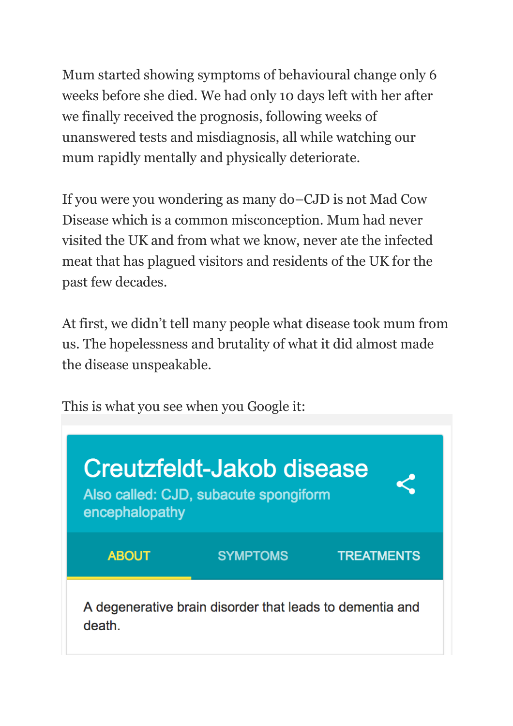Mum started showing symptoms of behavioural change only 6 weeks before she died. We had only 10 days left with her after we finally received the prognosis, following weeks of unanswered tests and misdiagnosis, all while watching our mum rapidly mentally and physically deteriorate.

If you were you wondering as many do–CJD is not Mad Cow Disease which is a common misconception. Mum had never visited the UK and from what we know, never ate the infected meat that has plagued visitors and residents of the UK for the past few decades.

At first, we didn't tell many people what disease took mum from us. The hopelessness and brutality of what it did almost made the disease unspeakable.

This is what you see when you Google it:

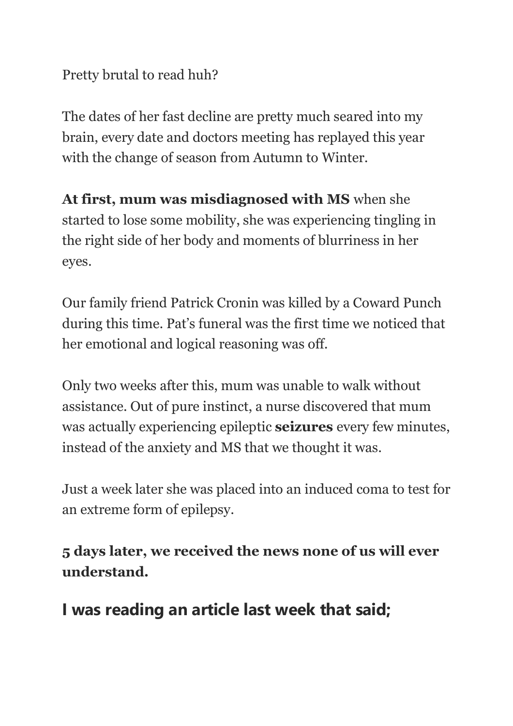Pretty brutal to read huh?

The dates of her fast decline are pretty much seared into my brain, every date and doctors meeting has replayed this year with the change of season from Autumn to Winter.

**At first, mum was misdiagnosed with MS** when she started to lose some mobility, she was experiencing tingling in the right side of her body and moments of blurriness in her eyes.

Our family friend Patrick Cronin was killed by a Coward Punch during this time. Pat's funeral was the first time we noticed that her emotional and logical reasoning was off.

Only two weeks after this, mum was unable to walk without assistance. Out of pure instinct, a nurse discovered that mum was actually experiencing epileptic **seizures** every few minutes, instead of the anxiety and MS that we thought it was.

Just a week later she was placed into an induced coma to test for an extreme form of epilepsy.

**5 days later, we received the news none of us will ever understand.**

**I was reading an article last week that said;**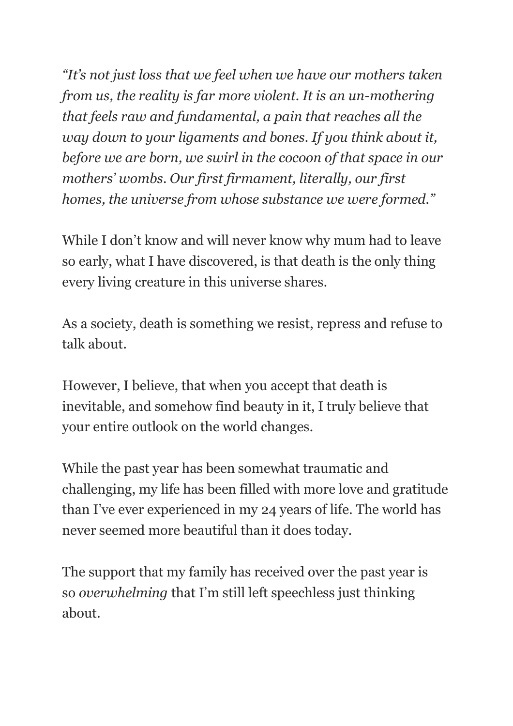*"It's not just loss that we feel when we have our mothers taken from us, the reality is far more violent. It is an un-mothering that feels raw and fundamental, a pain that reaches all the way down to your ligaments and bones. If you think about it, before we are born, we swirl in the cocoon of that space in our mothers' wombs. Our first firmament, literally, our first homes, the universe from whose substance we were formed."*

While I don't know and will never know why mum had to leave so early, what I have discovered, is that death is the only thing every living creature in this universe shares.

As a society, death is something we resist, repress and refuse to talk about.

However, I believe, that when you accept that death is inevitable, and somehow find beauty in it, I truly believe that your entire outlook on the world changes.

While the past year has been somewhat traumatic and challenging, my life has been filled with more love and gratitude than I've ever experienced in my 24 years of life. The world has never seemed more beautiful than it does today.

The support that my family has received over the past year is so *overwhelming* that I'm still left speechless just thinking about.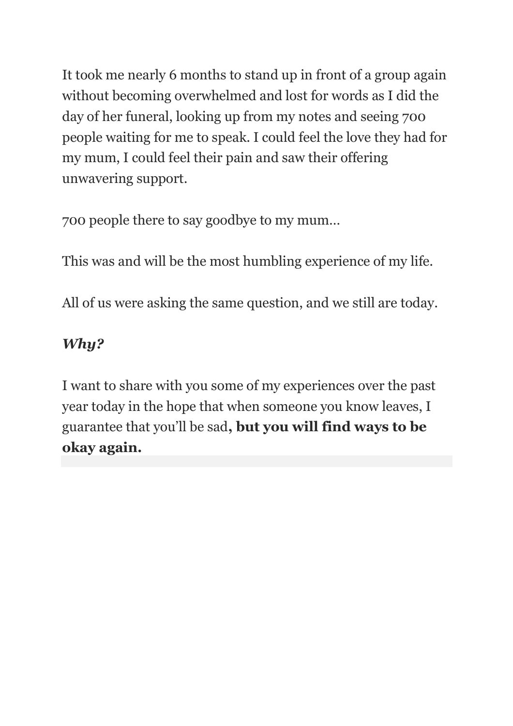It took me nearly 6 months to stand up in front of a group again without becoming overwhelmed and lost for words as I did the day of her funeral, looking up from my notes and seeing 700 people waiting for me to speak. I could feel the love they had for my mum, I could feel their pain and saw their offering unwavering support.

700 people there to say goodbye to my mum…

This was and will be the most humbling experience of my life.

All of us were asking the same question, and we still are today.

### *Why?*

I want to share with you some of my experiences over the past year today in the hope that when someone you know leaves, I guarantee that you'll be sad**, but you will find ways to be okay again.**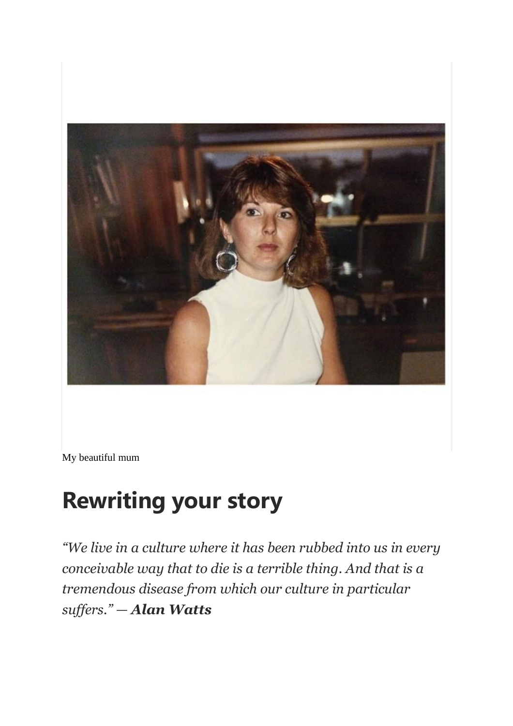

My beautiful mum

## **Rewriting your story**

*"We live in a culture where it has been rubbed into us in every conceivable way that to die is a terrible thing. And that is a tremendous disease from which our culture in particular suffers." — Alan Watts*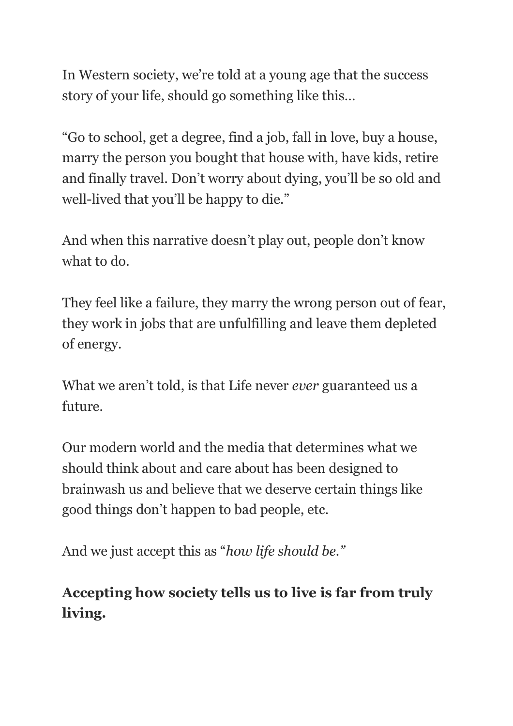In Western society, we're told at a young age that the success story of your life, should go something like this…

"Go to school, get a degree, find a job, fall in love, buy a house, marry the person you bought that house with, have kids, retire and finally travel. Don't worry about dying, you'll be so old and well-lived that you'll be happy to die."

And when this narrative doesn't play out, people don't know what to do.

They feel like a failure, they marry the wrong person out of fear, they work in jobs that are unfulfilling and leave them depleted of energy.

What we aren't told, is that Life never *ever* guaranteed us a future.

Our modern world and the media that determines what we should think about and care about has been designed to brainwash us and believe that we deserve certain things like good things don't happen to bad people, etc.

And we just accept this as "*how life should be."*

### **Accepting how society tells us to live is far from truly living.**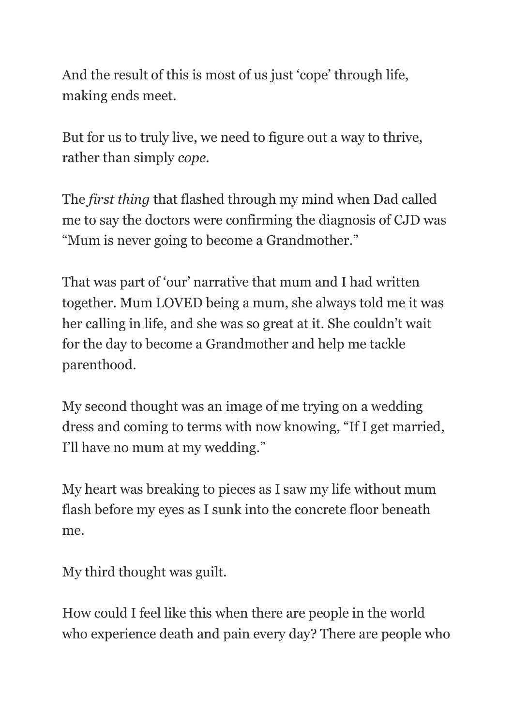And the result of this is most of us just 'cope' through life, making ends meet.

But for us to truly live, we need to figure out a way to thrive, rather than simply *cope.*

The *first thing* that flashed through my mind when Dad called me to say the doctors were confirming the diagnosis of CJD was "Mum is never going to become a Grandmother."

That was part of 'our' narrative that mum and I had written together. Mum LOVED being a mum, she always told me it was her calling in life, and she was so great at it. She couldn't wait for the day to become a Grandmother and help me tackle parenthood.

My second thought was an image of me trying on a wedding dress and coming to terms with now knowing, "If I get married, I'll have no mum at my wedding."

My heart was breaking to pieces as I saw my life without mum flash before my eyes as I sunk into the concrete floor beneath me.

My third thought was guilt.

How could I feel like this when there are people in the world who experience death and pain every day? There are people who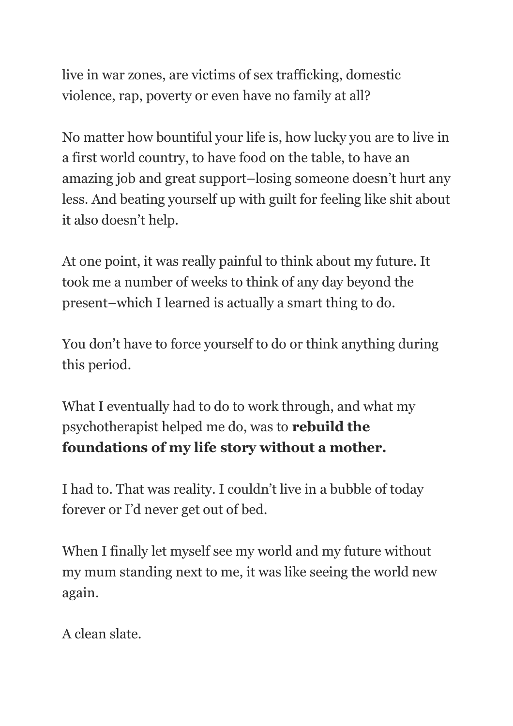live in war zones, are victims of sex trafficking, domestic violence, rap, poverty or even have no family at all?

No matter how bountiful your life is, how lucky you are to live in a first world country, to have food on the table, to have an amazing job and great support–losing someone doesn't hurt any less. And beating yourself up with guilt for feeling like shit about it also doesn't help.

At one point, it was really painful to think about my future. It took me a number of weeks to think of any day beyond the present–which I learned is actually a smart thing to do.

You don't have to force yourself to do or think anything during this period.

What I eventually had to do to work through, and what my psychotherapist helped me do, was to **rebuild the foundations of my life story without a mother.**

I had to. That was reality. I couldn't live in a bubble of today forever or I'd never get out of bed.

When I finally let myself see my world and my future without my mum standing next to me, it was like seeing the world new again.

A clean slate.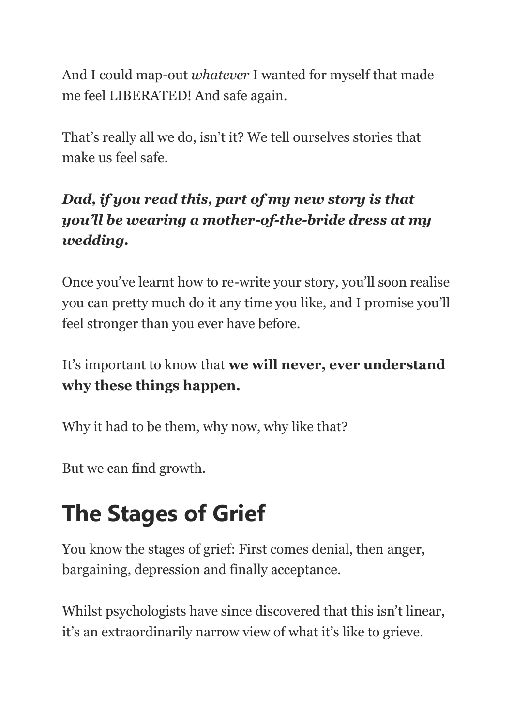And I could map-out *whatever* I wanted for myself that made me feel LIBERATED! And safe again.

That's really all we do, isn't it? We tell ourselves stories that make us feel safe.

### *Dad, if you read this, part of my new story is that you'll be wearing a mother-of-the-bride dress at my wedding.*

Once you've learnt how to re-write your story, you'll soon realise you can pretty much do it any time you like, and I promise you'll feel stronger than you ever have before.

It's important to know that **we will never, ever understand why these things happen.**

Why it had to be them, why now, why like that?

But we can find growth.

# **The Stages of Grief**

You know the stages of grief: First comes denial, then anger, bargaining, depression and finally acceptance.

Whilst psychologists have since discovered that this isn't linear, it's an extraordinarily narrow view of what it's like to grieve.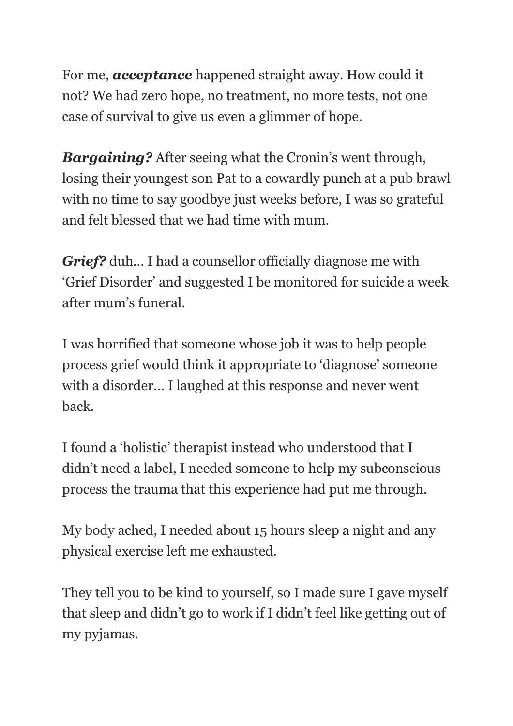For me, *acceptance* happened straight away. How could it not? We had zero hope, no treatment, no more tests, not one case of survival to give us even a glimmer of hope.

*Bargaining?* After seeing what the Cronin's went through, losing their youngest son Pat to a cowardly punch at a pub brawl with no time to say goodbye just weeks before, I was so grateful and felt blessed that we had time with mum.

*Grief?* duh… I had a counsellor officially diagnose me with 'Grief Disorder' and suggested I be monitored for suicide a week after mum's funeral.

I was horrified that someone whose job it was to help people process grief would think it appropriate to 'diagnose' someone with a disorder… I laughed at this response and never went back.

I found a 'holistic' therapist instead who understood that I didn't need a label, I needed someone to help my subconscious process the trauma that this experience had put me through.

My body ached, I needed about 15 hours sleep a night and any physical exercise left me exhausted.

They tell you to be kind to yourself, so I made sure I gave myself that sleep and didn't go to work if I didn't feel like getting out of my pyjamas.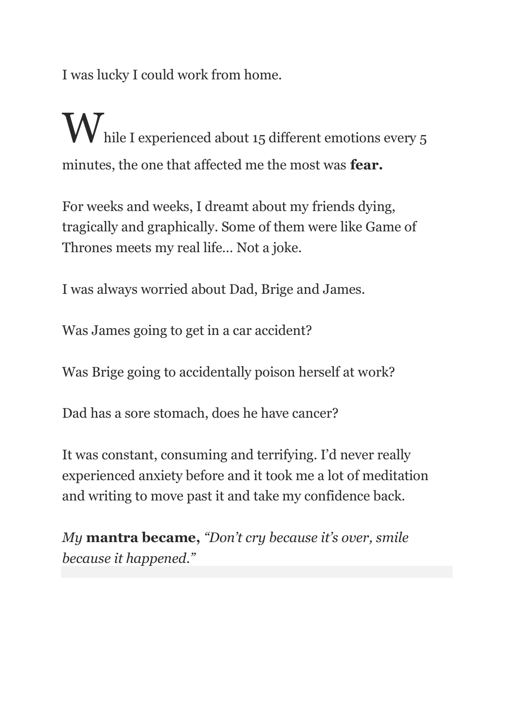I was lucky I could work from home.

 $\displaystyle\mathop{\hbox{\rm W}}\nolimits$  hile I experienced about 15 different emotions every 5 minutes, the one that affected me the most was **fear.**

For weeks and weeks, I dreamt about my friends dying, tragically and graphically. Some of them were like Game of Thrones meets my real life… Not a joke.

I was always worried about Dad, Brige and James.

Was James going to get in a car accident?

Was Brige going to accidentally poison herself at work?

Dad has a sore stomach, does he have cancer?

It was constant, consuming and terrifying. I'd never really experienced anxiety before and it took me a lot of meditation and writing to move past it and take my confidence back.

*My* **mantra became,** *"Don't cry because it's over, smile because it happened."*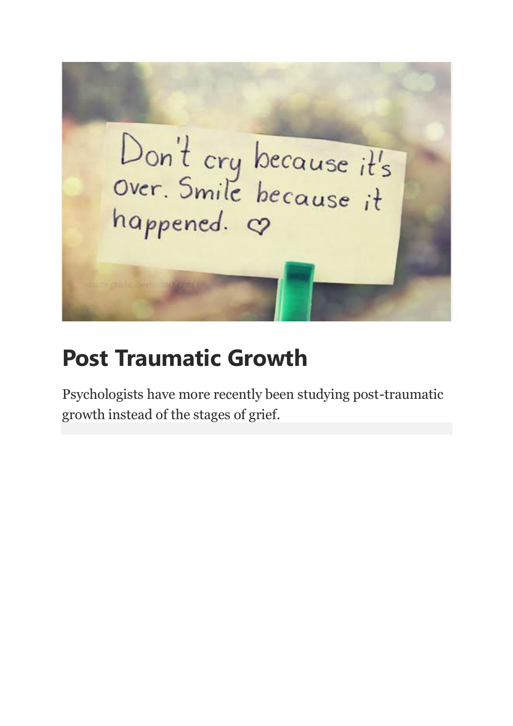

## **Post Traumatic Growth**

Psychologists have more recently been studying post-traumatic growth instead of the stages of grief.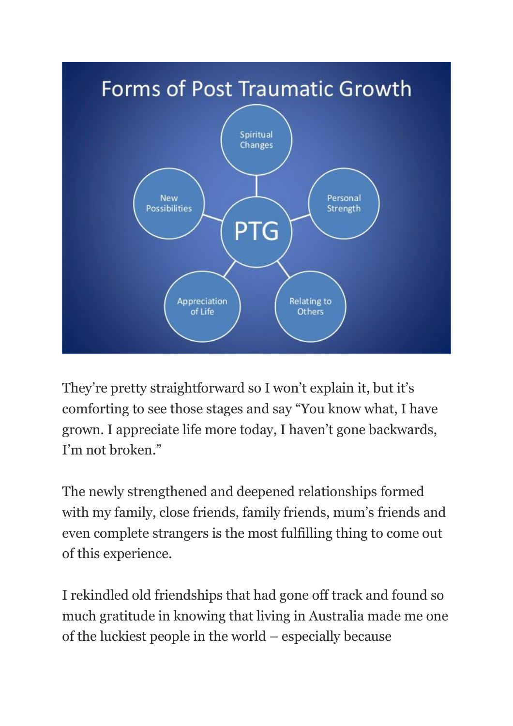

They're pretty straightforward so I won't explain it, but it's comforting to see those stages and say "You know what, I have grown. I appreciate life more today, I haven't gone backwards, I'm not broken."

The newly strengthened and deepened relationships formed with my family, close friends, family friends, mum's friends and even complete strangers is the most fulfilling thing to come out of this experience.

I rekindled old friendships that had gone off track and found so much gratitude in knowing that living in Australia made me one of the luckiest people in the world – especially because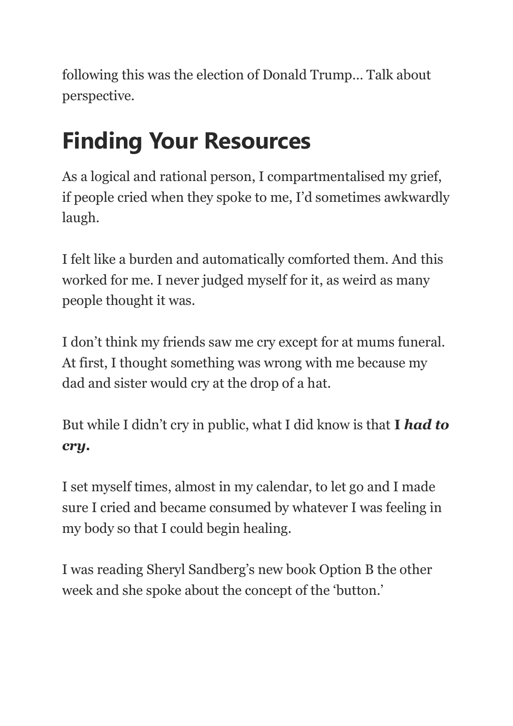following this was the election of Donald Trump… Talk about perspective.

# **Finding Your Resources**

As a logical and rational person, I compartmentalised my grief, if people cried when they spoke to me, I'd sometimes awkwardly laugh.

I felt like a burden and automatically comforted them. And this worked for me. I never judged myself for it, as weird as many people thought it was.

I don't think my friends saw me cry except for at mums funeral. At first, I thought something was wrong with me because my dad and sister would cry at the drop of a hat.

But while I didn't cry in public, what I did know is that **I** *had to cry.*

I set myself times, almost in my calendar, to let go and I made sure I cried and became consumed by whatever I was feeling in my body so that I could begin healing.

I was reading Sheryl Sandberg's new book Option B the other week and she spoke about the concept of the 'button.'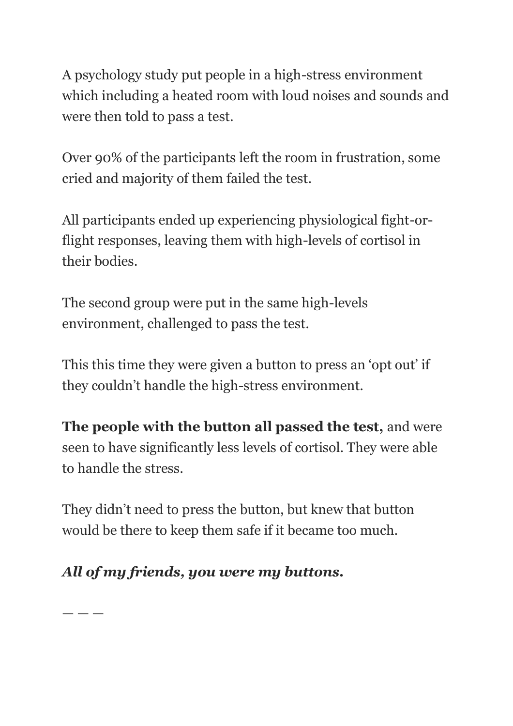A psychology study put people in a high-stress environment which including a heated room with loud noises and sounds and were then told to pass a test.

Over 90% of the participants left the room in frustration, some cried and majority of them failed the test.

All participants ended up experiencing physiological fight-orflight responses, leaving them with high-levels of cortisol in their bodies.

The second group were put in the same high-levels environment, challenged to pass the test.

This this time they were given a button to press an 'opt out' if they couldn't handle the high-stress environment.

**The people with the button all passed the test,** and were seen to have significantly less levels of cortisol. They were able to handle the stress.

They didn't need to press the button, but knew that button would be there to keep them safe if it became too much.

*All of my friends, you were my buttons.*

— — —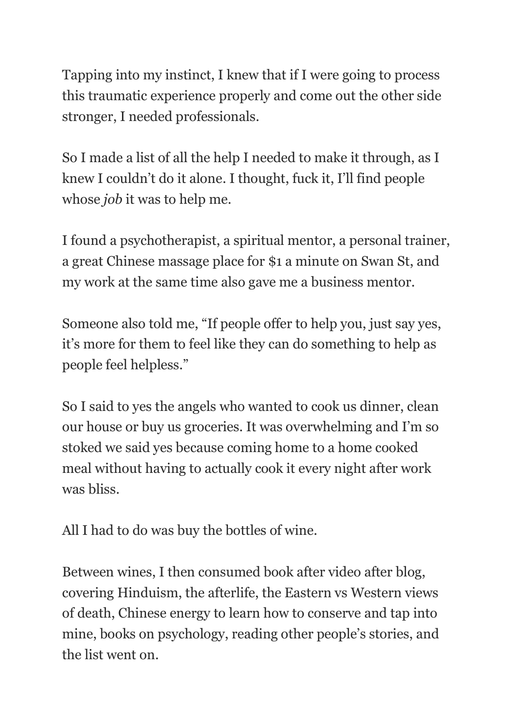Tapping into my instinct, I knew that if I were going to process this traumatic experience properly and come out the other side stronger, I needed professionals.

So I made a list of all the help I needed to make it through, as I knew I couldn't do it alone. I thought, fuck it, I'll find people whose *job* it was to help me.

I found a psychotherapist, a spiritual mentor, a personal trainer, a great Chinese massage place for \$1 a minute on Swan St, and my work at the same time also gave me a business mentor.

Someone also told me, "If people offer to help you, just say yes, it's more for them to feel like they can do something to help as people feel helpless."

So I said to yes the angels who wanted to cook us dinner, clean our house or buy us groceries. It was overwhelming and I'm so stoked we said yes because coming home to a home cooked meal without having to actually cook it every night after work was bliss.

All I had to do was buy the bottles of wine.

Between wines, I then consumed book after video after blog, covering Hinduism, the afterlife, the Eastern vs Western views of death, Chinese energy to learn how to conserve and tap into mine, books on psychology, reading other people's stories, and the list went on.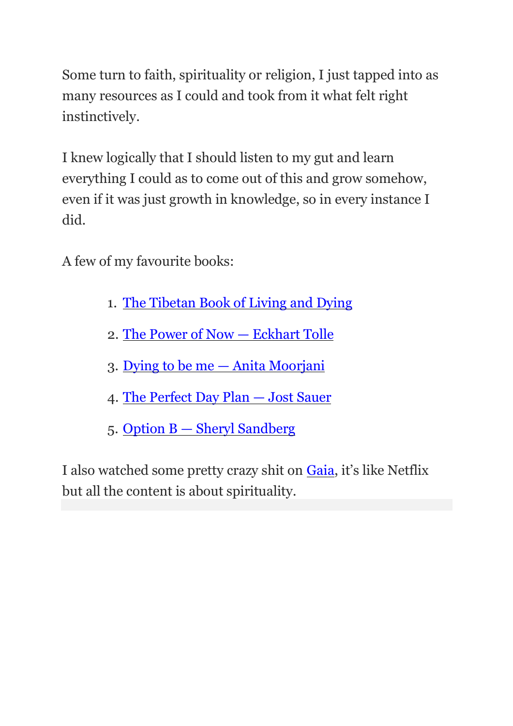Some turn to faith, spirituality or religion, I just tapped into as many resources as I could and took from it what felt right instinctively.

I knew logically that I should listen to my gut and learn everything I could as to come out of this and grow somehow, even if it was just growth in knowledge, so in every instance I did.

A few of my favourite books:

- 1. [The Tibetan Book of Living and Dying](https://www.amazon.com/Tibetan-Book-Living-Dying-International/dp/0062508342)
- 2. [The Power of Now](https://www.amazon.com/Power-Now-Guide-Spiritual-Enlightenment/dp/1577314808)  Eckhart Tolle
- 3. [Dying to be me](https://www.amazon.com/Dying-Be-Me-Journey-Healing/dp/1401937535)  Anita Moorjani
- 4. [The Perfect Day Plan](https://jostsauer.com/product/the-perfect-day-plan/)  Jost Sauer
- 5. Option B [Sheryl Sandberg](https://optionb.org/)

I also watched some pretty crazy shit on [Gaia](https://www.gaia.com/), it's like Netflix but all the content is about spirituality.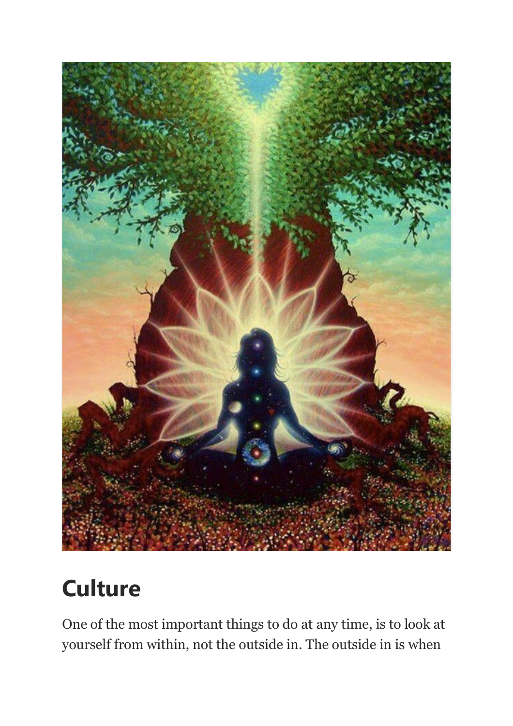

## **Culture**

One of the most important things to do at any time, is to look at yourself from within, not the outside in. The outside in is when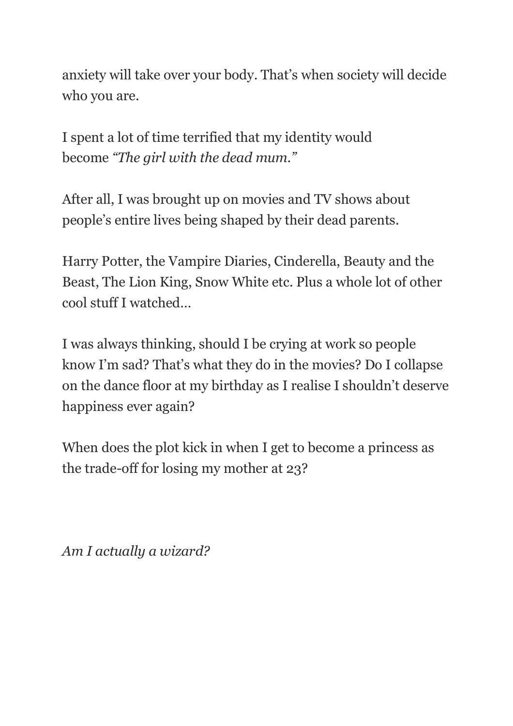anxiety will take over your body. That's when society will decide who you are.

I spent a lot of time terrified that my identity would become *"The girl with the dead mum."*

After all, I was brought up on movies and TV shows about people's entire lives being shaped by their dead parents.

Harry Potter, the Vampire Diaries, Cinderella, Beauty and the Beast, The Lion King, Snow White etc. Plus a whole lot of other cool stuff I watched…

I was always thinking, should I be crying at work so people know I'm sad? That's what they do in the movies? Do I collapse on the dance floor at my birthday as I realise I shouldn't deserve happiness ever again?

When does the plot kick in when I get to become a princess as the trade-off for losing my mother at 23?

*Am I actually a wizard?*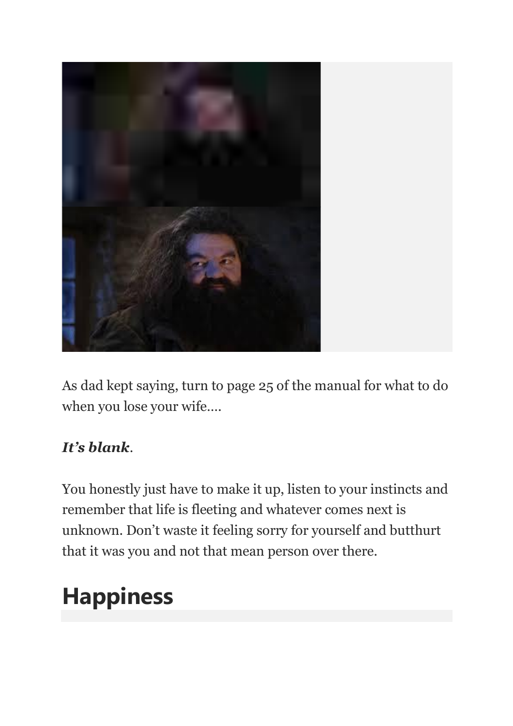

As dad kept saying, turn to page 25 of the manual for what to do when you lose your wife….

#### *It's blank*.

You honestly just have to make it up, listen to your instincts and remember that life is fleeting and whatever comes next is unknown. Don't waste it feeling sorry for yourself and butthurt that it was you and not that mean person over there.

# **Happiness**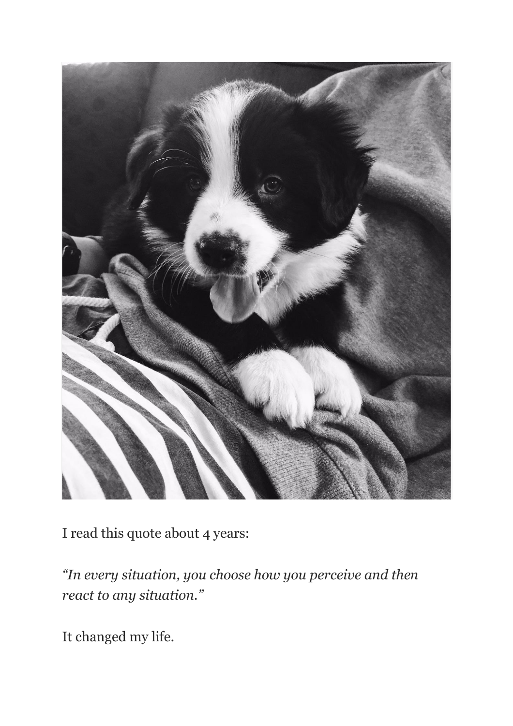

I read this quote about 4 years:

*"In every situation, you choose how you perceive and then react to any situation."*

It changed my life.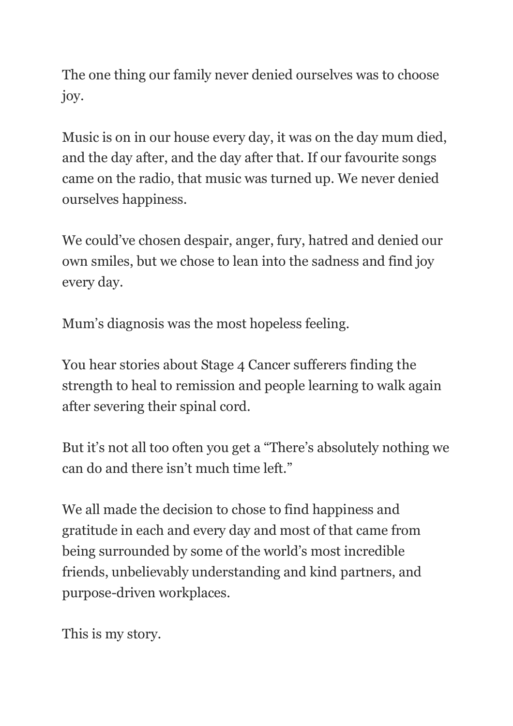The one thing our family never denied ourselves was to choose joy.

Music is on in our house every day, it was on the day mum died, and the day after, and the day after that. If our favourite songs came on the radio, that music was turned up. We never denied ourselves happiness.

We could've chosen despair, anger, fury, hatred and denied our own smiles, but we chose to lean into the sadness and find joy every day.

Mum's diagnosis was the most hopeless feeling.

You hear stories about Stage 4 Cancer sufferers finding the strength to heal to remission and people learning to walk again after severing their spinal cord.

But it's not all too often you get a "There's absolutely nothing we can do and there isn't much time left."

We all made the decision to chose to find happiness and gratitude in each and every day and most of that came from being surrounded by some of the world's most incredible friends, unbelievably understanding and kind partners, and purpose-driven workplaces.

This is my story.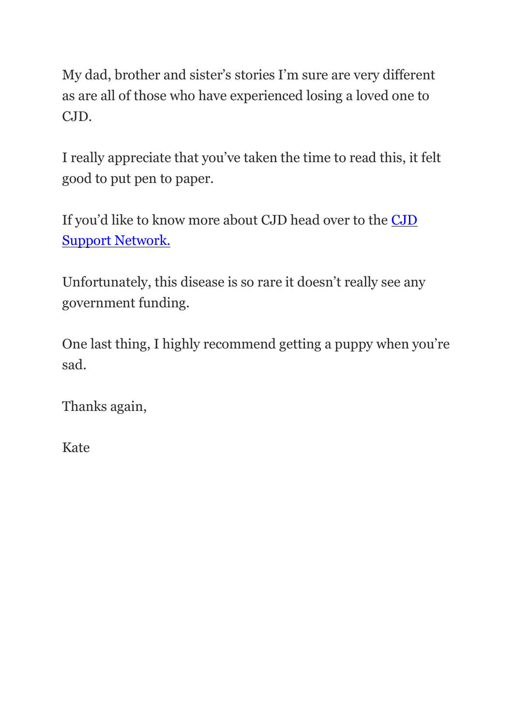My dad, brother and sister's stories I'm sure are very different as are all of those who have experienced losing a loved one to CJD.

I really appreciate that you've taken the time to read this, it felt good to put pen to paper.

If you'd like to know more about CJD head over to the [CJD](https://www.cjdsupport.org.au/)  [Support Network.](https://www.cjdsupport.org.au/)

Unfortunately, this disease is so rare it doesn't really see any government funding.

One last thing, I highly recommend getting a puppy when you're sad.

Thanks again,

Kate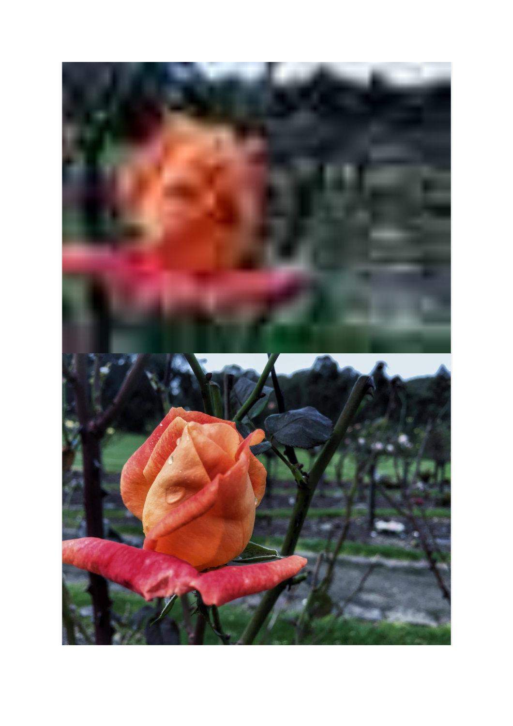